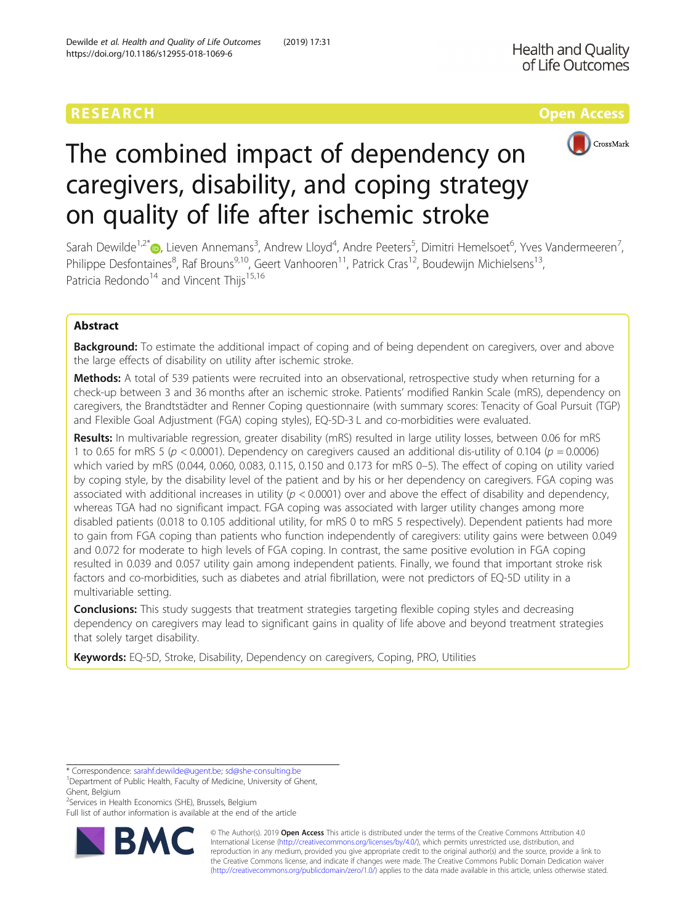# RESEARCH **RESEARCH CONSUMING THE CONSUMING TEACHER CONSUMING THE CONSUMING TEACHER CONSUMING THE CONSUMING TEACHER CONSUMING THE CONSUMING TEACHER CONSUMING THE CONSUMING TEACHER CONSUMING THE CONSUMING TEACHER CONSUMING**



# The combined impact of dependency on caregivers, disability, and coping strategy on quality of life after ischemic stroke

Sarah Dewilde<sup>1[,](http://orcid.org/0000-0002-7315-3230)2\*</sup>®, Lieven Annemans<sup>3</sup>, Andrew Lloyd<sup>4</sup>, Andre Peeters<sup>5</sup>, Dimitri Hemelsoet<sup>6</sup>, Yves Vandermeeren<sup>7</sup> , Philippe Desfontaines<sup>8</sup>, Raf Brouns<sup>9,10</sup>, Geert Vanhooren<sup>11</sup>, Patrick Cras<sup>12</sup>, Boudewijn Michielsens<sup>13</sup>, Patricia Redondo<sup>14</sup> and Vincent Thijs<sup>15,16</sup>

# Abstract

**Background:** To estimate the additional impact of coping and of being dependent on caregivers, over and above the large effects of disability on utility after ischemic stroke.

Methods: A total of 539 patients were recruited into an observational, retrospective study when returning for a check-up between 3 and 36 months after an ischemic stroke. Patients' modified Rankin Scale (mRS), dependency on caregivers, the Brandtstädter and Renner Coping questionnaire (with summary scores: Tenacity of Goal Pursuit (TGP) and Flexible Goal Adjustment (FGA) coping styles), EQ-5D-3 L and co-morbidities were evaluated.

Results: In multivariable regression, greater disability (mRS) resulted in large utility losses, between 0.06 for mRS 1 to 0.65 for mRS 5 ( $p < 0.0001$ ). Dependency on caregivers caused an additional dis-utility of 0.104 ( $p = 0.0006$ ) which varied by mRS (0.044, 0.060, 0.083, 0.115, 0.150 and 0.173 for mRS 0–5). The effect of coping on utility varied by coping style, by the disability level of the patient and by his or her dependency on caregivers. FGA coping was associated with additional increases in utility ( $p < 0.0001$ ) over and above the effect of disability and dependency, whereas TGA had no significant impact. FGA coping was associated with larger utility changes among more disabled patients (0.018 to 0.105 additional utility, for mRS 0 to mRS 5 respectively). Dependent patients had more to gain from FGA coping than patients who function independently of caregivers: utility gains were between 0.049 and 0.072 for moderate to high levels of FGA coping. In contrast, the same positive evolution in FGA coping resulted in 0.039 and 0.057 utility gain among independent patients. Finally, we found that important stroke risk factors and co-morbidities, such as diabetes and atrial fibrillation, were not predictors of EQ-5D utility in a multivariable setting.

**Conclusions:** This study suggests that treatment strategies targeting flexible coping styles and decreasing dependency on caregivers may lead to significant gains in quality of life above and beyond treatment strategies that solely target disability.

Keywords: EQ-5D, Stroke, Disability, Dependency on caregivers, Coping, PRO, Utilities

<sup>2</sup>Services in Health Economics (SHE), Brussels, Belgium

Full list of author information is available at the end of the article



© The Author(s). 2019 Open Access This article is distributed under the terms of the Creative Commons Attribution 4.0 International License [\(http://creativecommons.org/licenses/by/4.0/](http://creativecommons.org/licenses/by/4.0/)), which permits unrestricted use, distribution, and reproduction in any medium, provided you give appropriate credit to the original author(s) and the source, provide a link to the Creative Commons license, and indicate if changes were made. The Creative Commons Public Domain Dedication waiver [\(http://creativecommons.org/publicdomain/zero/1.0/](http://creativecommons.org/publicdomain/zero/1.0/)) applies to the data made available in this article, unless otherwise stated.

<sup>\*</sup> Correspondence: [sarahf.dewilde@ugent.be](mailto:sarahf.dewilde@ugent.be); [sd@she-consulting.be](mailto:sd@she-consulting.be) <sup>1</sup>

<sup>&</sup>lt;sup>1</sup>Department of Public Health, Faculty of Medicine, University of Ghent, Ghent, Belgium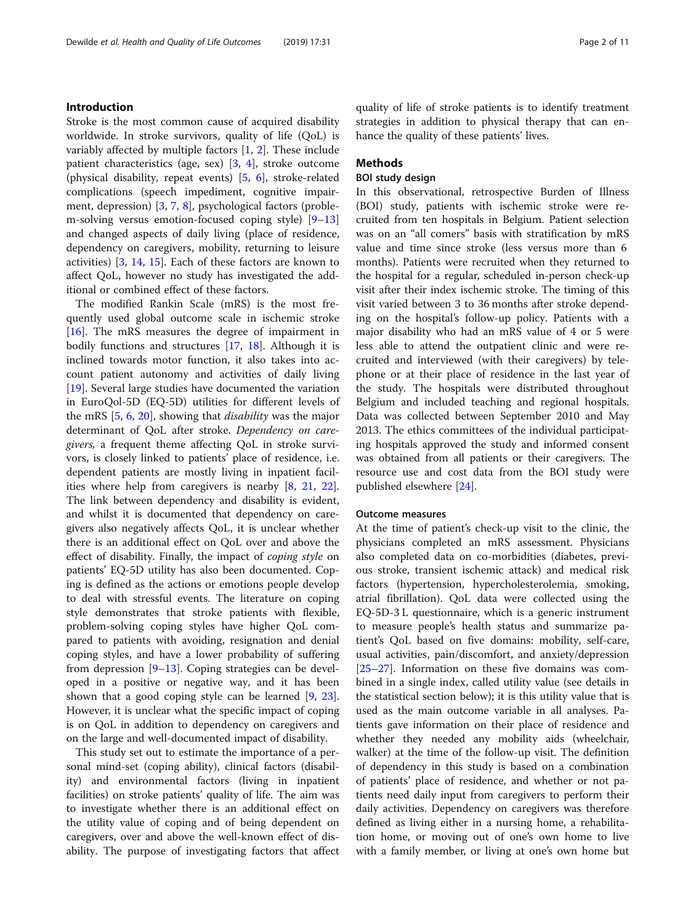### Introduction

Stroke is the most common cause of acquired disability worldwide. In stroke survivors, quality of life (QoL) is variably affected by multiple factors [[1,](#page-9-0) [2\]](#page-9-0). These include patient characteristics (age, sex) [\[3](#page-9-0), [4\]](#page-9-0), stroke outcome (physical disability, repeat events) [\[5](#page-9-0), [6](#page-10-0)], stroke-related complications (speech impediment, cognitive impairment, depression) [\[3](#page-9-0), [7](#page-10-0), [8](#page-10-0)], psychological factors (problem-solving versus emotion-focused coping style) [[9](#page-10-0)–[13](#page-10-0)] and changed aspects of daily living (place of residence, dependency on caregivers, mobility, returning to leisure activities) [[3,](#page-9-0) [14](#page-10-0), [15](#page-10-0)]. Each of these factors are known to affect QoL, however no study has investigated the additional or combined effect of these factors.

The modified Rankin Scale (mRS) is the most frequently used global outcome scale in ischemic stroke [[16\]](#page-10-0). The mRS measures the degree of impairment in bodily functions and structures [[17,](#page-10-0) [18\]](#page-10-0). Although it is inclined towards motor function, it also takes into account patient autonomy and activities of daily living [[19\]](#page-10-0). Several large studies have documented the variation in EuroQol-5D (EQ-5D) utilities for different levels of the mRS [\[5](#page-9-0), [6](#page-10-0), [20](#page-10-0)], showing that disability was the major determinant of QoL after stroke. Dependency on caregivers, a frequent theme affecting QoL in stroke survivors, is closely linked to patients' place of residence, i.e. dependent patients are mostly living in inpatient facilities where help from caregivers is nearby [[8,](#page-10-0) [21](#page-10-0), [22](#page-10-0)]. The link between dependency and disability is evident, and whilst it is documented that dependency on caregivers also negatively affects QoL, it is unclear whether there is an additional effect on QoL over and above the effect of disability. Finally, the impact of *coping style* on patients' EQ-5D utility has also been documented. Coping is defined as the actions or emotions people develop to deal with stressful events. The literature on coping style demonstrates that stroke patients with flexible, problem-solving coping styles have higher QoL compared to patients with avoiding, resignation and denial coping styles, and have a lower probability of suffering from depression  $[9-13]$  $[9-13]$  $[9-13]$  $[9-13]$ . Coping strategies can be developed in a positive or negative way, and it has been shown that a good coping style can be learned [\[9](#page-10-0), [23](#page-10-0)]. However, it is unclear what the specific impact of coping is on QoL in addition to dependency on caregivers and on the large and well-documented impact of disability.

This study set out to estimate the importance of a personal mind-set (coping ability), clinical factors (disability) and environmental factors (living in inpatient facilities) on stroke patients' quality of life. The aim was to investigate whether there is an additional effect on the utility value of coping and of being dependent on caregivers, over and above the well-known effect of disability. The purpose of investigating factors that affect

quality of life of stroke patients is to identify treatment strategies in addition to physical therapy that can enhance the quality of these patients' lives.

# **Methods**

### BOI study design

In this observational, retrospective Burden of Illness (BOI) study, patients with ischemic stroke were recruited from ten hospitals in Belgium. Patient selection was on an "all comers" basis with stratification by mRS value and time since stroke (less versus more than 6 months). Patients were recruited when they returned to the hospital for a regular, scheduled in-person check-up visit after their index ischemic stroke. The timing of this visit varied between 3 to 36 months after stroke depending on the hospital's follow-up policy. Patients with a major disability who had an mRS value of 4 or 5 were less able to attend the outpatient clinic and were recruited and interviewed (with their caregivers) by telephone or at their place of residence in the last year of the study. The hospitals were distributed throughout Belgium and included teaching and regional hospitals. Data was collected between September 2010 and May 2013. The ethics committees of the individual participating hospitals approved the study and informed consent was obtained from all patients or their caregivers. The resource use and cost data from the BOI study were published elsewhere [\[24\]](#page-10-0).

#### Outcome measures

At the time of patient's check-up visit to the clinic, the physicians completed an mRS assessment. Physicians also completed data on co-morbidities (diabetes, previous stroke, transient ischemic attack) and medical risk factors (hypertension, hypercholesterolemia, smoking, atrial fibrillation). QoL data were collected using the EQ-5D-3 L questionnaire, which is a generic instrument to measure people's health status and summarize patient's QoL based on five domains: mobility, self-care, usual activities, pain/discomfort, and anxiety/depression [[25](#page-10-0)–[27](#page-10-0)]. Information on these five domains was combined in a single index, called utility value (see details in the statistical section below); it is this utility value that is used as the main outcome variable in all analyses. Patients gave information on their place of residence and whether they needed any mobility aids (wheelchair, walker) at the time of the follow-up visit. The definition of dependency in this study is based on a combination of patients' place of residence, and whether or not patients need daily input from caregivers to perform their daily activities. Dependency on caregivers was therefore defined as living either in a nursing home, a rehabilitation home, or moving out of one's own home to live with a family member, or living at one's own home but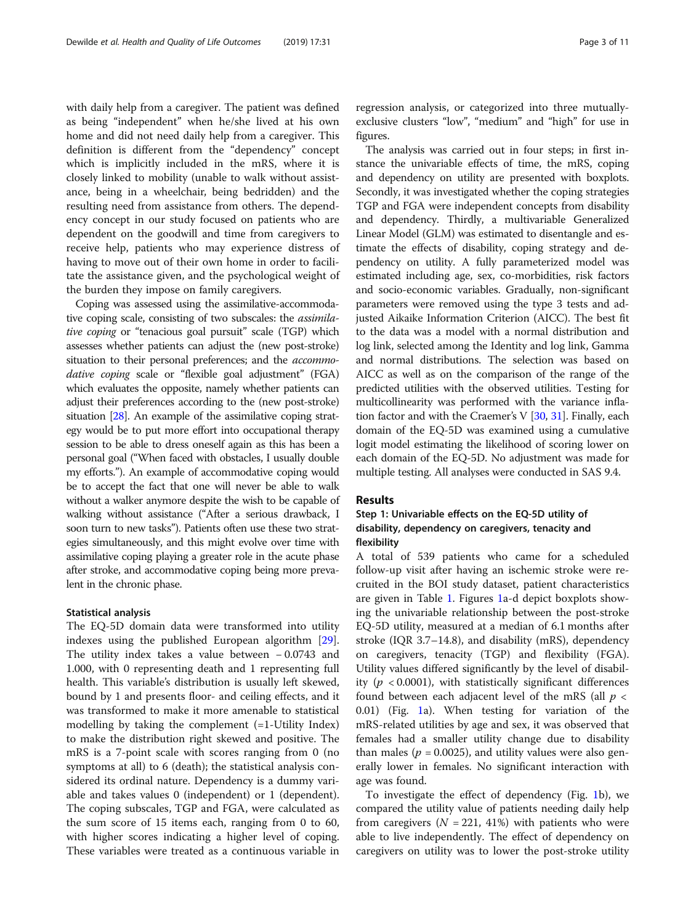with daily help from a caregiver. The patient was defined as being "independent" when he/she lived at his own home and did not need daily help from a caregiver. This definition is different from the "dependency" concept which is implicitly included in the mRS, where it is closely linked to mobility (unable to walk without assistance, being in a wheelchair, being bedridden) and the resulting need from assistance from others. The dependency concept in our study focused on patients who are dependent on the goodwill and time from caregivers to receive help, patients who may experience distress of having to move out of their own home in order to facilitate the assistance given, and the psychological weight of the burden they impose on family caregivers.

Coping was assessed using the assimilative-accommodative coping scale, consisting of two subscales: the assimilative coping or "tenacious goal pursuit" scale (TGP) which assesses whether patients can adjust the (new post-stroke) situation to their personal preferences; and the *accommo*dative coping scale or "flexible goal adjustment" (FGA) which evaluates the opposite, namely whether patients can adjust their preferences according to the (new post-stroke) situation [[28](#page-10-0)]. An example of the assimilative coping strategy would be to put more effort into occupational therapy session to be able to dress oneself again as this has been a personal goal ("When faced with obstacles, I usually double my efforts."). An example of accommodative coping would be to accept the fact that one will never be able to walk without a walker anymore despite the wish to be capable of walking without assistance ("After a serious drawback, I soon turn to new tasks"). Patients often use these two strategies simultaneously, and this might evolve over time with assimilative coping playing a greater role in the acute phase after stroke, and accommodative coping being more prevalent in the chronic phase.

#### Statistical analysis

The EQ-5D domain data were transformed into utility indexes using the published European algorithm [\[29](#page-10-0)]. The utility index takes a value between − 0.0743 and 1.000, with 0 representing death and 1 representing full health. This variable's distribution is usually left skewed, bound by 1 and presents floor- and ceiling effects, and it was transformed to make it more amenable to statistical modelling by taking the complement (=1-Utility Index) to make the distribution right skewed and positive. The mRS is a 7-point scale with scores ranging from 0 (no symptoms at all) to 6 (death); the statistical analysis considered its ordinal nature. Dependency is a dummy variable and takes values 0 (independent) or 1 (dependent). The coping subscales, TGP and FGA, were calculated as the sum score of 15 items each, ranging from 0 to 60, with higher scores indicating a higher level of coping. These variables were treated as a continuous variable in

regression analysis, or categorized into three mutuallyexclusive clusters "low", "medium" and "high" for use in figures.

The analysis was carried out in four steps; in first instance the univariable effects of time, the mRS, coping and dependency on utility are presented with boxplots. Secondly, it was investigated whether the coping strategies TGP and FGA were independent concepts from disability and dependency. Thirdly, a multivariable Generalized Linear Model (GLM) was estimated to disentangle and estimate the effects of disability, coping strategy and dependency on utility. A fully parameterized model was estimated including age, sex, co-morbidities, risk factors and socio-economic variables. Gradually, non-significant parameters were removed using the type 3 tests and adjusted Aikaike Information Criterion (AICC). The best fit to the data was a model with a normal distribution and log link, selected among the Identity and log link, Gamma and normal distributions. The selection was based on AICC as well as on the comparison of the range of the predicted utilities with the observed utilities. Testing for multicollinearity was performed with the variance inflation factor and with the Craemer's V  $[30, 31]$  $[30, 31]$  $[30, 31]$  $[30, 31]$ . Finally, each domain of the EQ-5D was examined using a cumulative logit model estimating the likelihood of scoring lower on each domain of the EQ-5D. No adjustment was made for multiple testing. All analyses were conducted in SAS 9.4.

# **Results**

# Step 1: Univariable effects on the EQ-5D utility of disability, dependency on caregivers, tenacity and flexibility

A total of 539 patients who came for a scheduled follow-up visit after having an ischemic stroke were recruited in the BOI study dataset, patient characteristics are given in Table [1](#page-3-0). Figures [1a](#page-3-0)-d depict boxplots showing the univariable relationship between the post-stroke EQ-5D utility, measured at a median of 6.1 months after stroke (IQR 3.7–14.8), and disability (mRS), dependency on caregivers, tenacity (TGP) and flexibility (FGA). Utility values differed significantly by the level of disability ( $p < 0.0001$ ), with statistically significant differences found between each adjacent level of the mRS (all  $p <$ 0.01) (Fig. [1](#page-3-0)a). When testing for variation of the mRS-related utilities by age and sex, it was observed that females had a smaller utility change due to disability than males ( $p = 0.0025$ ), and utility values were also generally lower in females. No significant interaction with age was found.

To investigate the effect of dependency (Fig. [1b](#page-3-0)), we compared the utility value of patients needing daily help from caregivers ( $N = 221, 41\%$ ) with patients who were able to live independently. The effect of dependency on caregivers on utility was to lower the post-stroke utility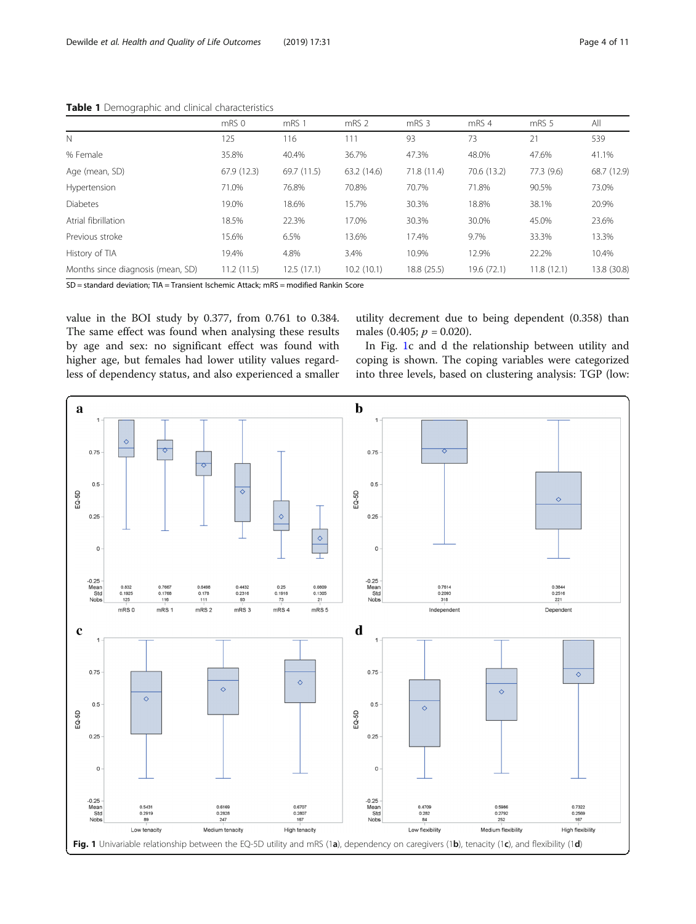|                                   | mRS 0      | mRS 1       | mRS <sub>2</sub> | mRS 3       | mRS 4       | mRS 5      | All         |
|-----------------------------------|------------|-------------|------------------|-------------|-------------|------------|-------------|
| N                                 | 125        | 116         | 111              | 93          | 73          | 21         | 539         |
| % Female                          | 35.8%      | 40.4%       | 36.7%            | 47.3%       | 48.0%       | 47.6%      | 41.1%       |
| Age (mean, SD)                    | 67.9(12.3) | 69.7 (11.5) | 63.2 (14.6)      | 71.8 (11.4) | 70.6 (13.2) | 77.3(9.6)  | 68.7 (12.9) |
| Hypertension                      | 71.0%      | 76.8%       | 70.8%            | 70.7%       | 71.8%       | 90.5%      | 73.0%       |
| <b>Diabetes</b>                   | 19.0%      | 18.6%       | 15.7%            | 30.3%       | 18.8%       | 38.1%      | 20.9%       |
| Atrial fibrillation               | 18.5%      | 22.3%       | 17.0%            | 30.3%       | 30.0%       | 45.0%      | 23.6%       |
| Previous stroke                   | 15.6%      | 6.5%        | 13.6%            | 17.4%       | 9.7%        | 33.3%      | 13.3%       |
| History of TIA                    | 19.4%      | 4.8%        | 3.4%             | 10.9%       | 12.9%       | 22.2%      | 10.4%       |
| Months since diagnosis (mean, SD) | 11.2(11.5) | 12.5(17.1)  | 10.2(10.1)       | 18.8 (25.5) | 19.6 (72.1) | 11.8(12.1) | 13.8 (30.8) |

<span id="page-3-0"></span>Table 1 Demographic and clinical characteristics

SD = standard deviation; TIA = Transient Ischemic Attack; mRS = modified Rankin Score

value in the BOI study by 0.377, from 0.761 to 0.384. The same effect was found when analysing these results by age and sex: no significant effect was found with higher age, but females had lower utility values regardless of dependency status, and also experienced a smaller utility decrement due to being dependent (0.358) than males (0.405;  $p = 0.020$ ).

In Fig. 1c and d the relationship between utility and coping is shown. The coping variables were categorized into three levels, based on clustering analysis: TGP (low:

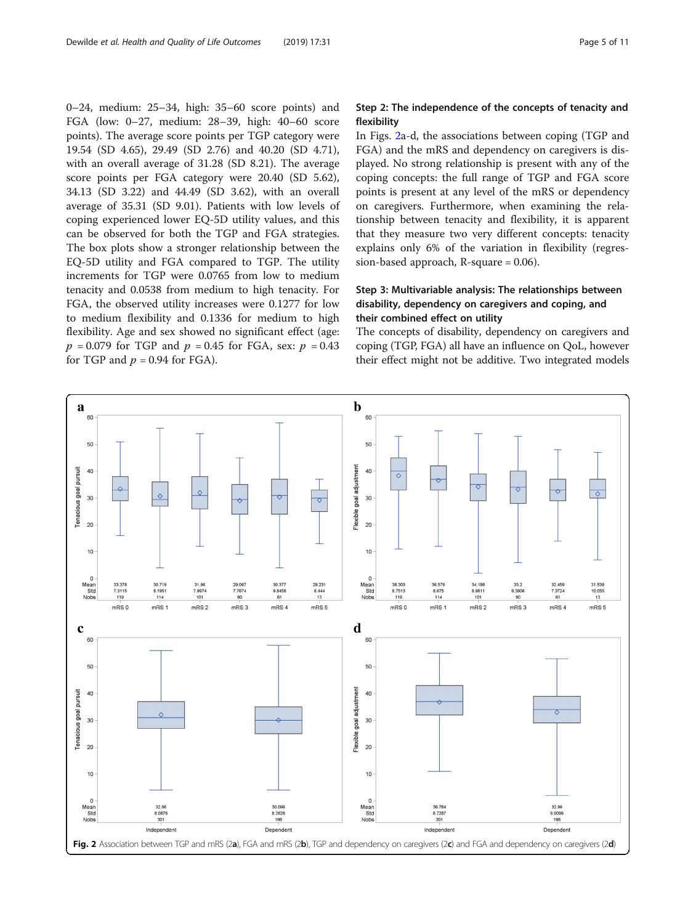0–24, medium: 25–34, high: 35–60 score points) and FGA (low: 0–27, medium: 28–39, high: 40–60 score points). The average score points per TGP category were 19.54 (SD 4.65), 29.49 (SD 2.76) and 40.20 (SD 4.71), with an overall average of 31.28 (SD 8.21). The average score points per FGA category were 20.40 (SD 5.62), 34.13 (SD 3.22) and 44.49 (SD 3.62), with an overall average of 35.31 (SD 9.01). Patients with low levels of coping experienced lower EQ-5D utility values, and this can be observed for both the TGP and FGA strategies. The box plots show a stronger relationship between the EQ-5D utility and FGA compared to TGP. The utility increments for TGP were 0.0765 from low to medium tenacity and 0.0538 from medium to high tenacity. For FGA, the observed utility increases were 0.1277 for low to medium flexibility and 0.1336 for medium to high flexibility. Age and sex showed no significant effect (age:  $p = 0.079$  for TGP and  $p = 0.45$  for FGA, sex:  $p = 0.43$ for TGP and  $p = 0.94$  for FGA).

# Step 2: The independence of the concepts of tenacity and flexibility

In Figs. 2a-d, the associations between coping (TGP and FGA) and the mRS and dependency on caregivers is displayed. No strong relationship is present with any of the coping concepts: the full range of TGP and FGA score points is present at any level of the mRS or dependency on caregivers. Furthermore, when examining the relationship between tenacity and flexibility, it is apparent that they measure two very different concepts: tenacity explains only 6% of the variation in flexibility (regression-based approach, R-square = 0.06).

# Step 3: Multivariable analysis: The relationships between disability, dependency on caregivers and coping, and their combined effect on utility

The concepts of disability, dependency on caregivers and coping (TGP, FGA) all have an influence on QoL, however their effect might not be additive. Two integrated models

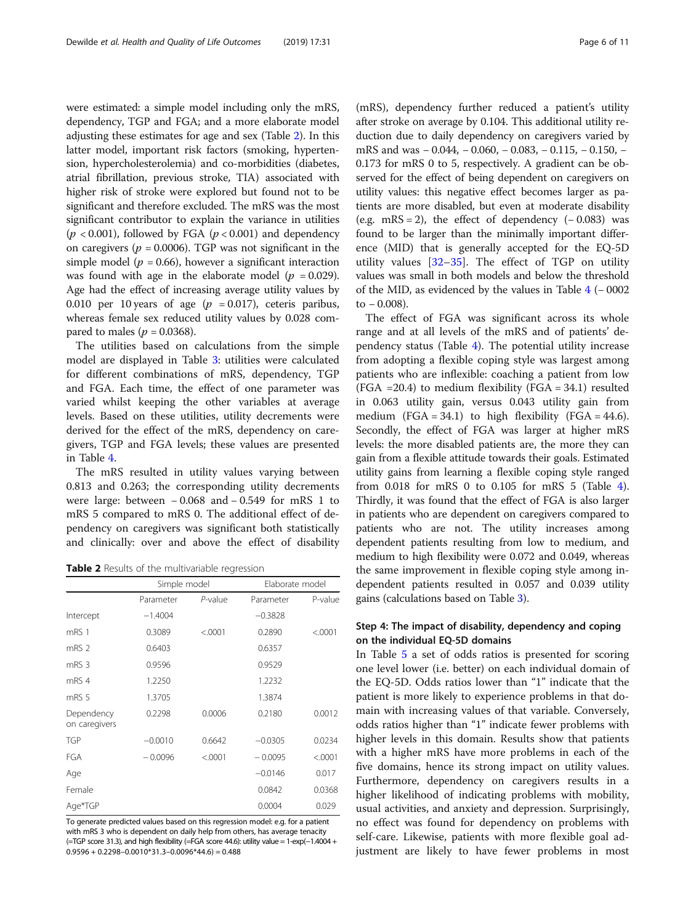were estimated: a simple model including only the mRS, dependency, TGP and FGA; and a more elaborate model adjusting these estimates for age and sex (Table 2). In this latter model, important risk factors (smoking, hypertension, hypercholesterolemia) and co-morbidities (diabetes, atrial fibrillation, previous stroke, TIA) associated with higher risk of stroke were explored but found not to be significant and therefore excluded. The mRS was the most significant contributor to explain the variance in utilities  $(p < 0.001)$ , followed by FGA  $(p < 0.001)$  and dependency on caregivers ( $p = 0.0006$ ). TGP was not significant in the simple model ( $p = 0.66$ ), however a significant interaction was found with age in the elaborate model ( $p = 0.029$ ). Age had the effect of increasing average utility values by 0.010 per 10 years of age ( $p = 0.017$ ), ceteris paribus, whereas female sex reduced utility values by 0.028 compared to males ( $p = 0.0368$ ).

The utilities based on calculations from the simple model are displayed in Table [3:](#page-6-0) utilities were calculated for different combinations of mRS, dependency, TGP and FGA. Each time, the effect of one parameter was varied whilst keeping the other variables at average levels. Based on these utilities, utility decrements were derived for the effect of the mRS, dependency on caregivers, TGP and FGA levels; these values are presented in Table [4.](#page-6-0)

The mRS resulted in utility values varying between 0.813 and 0.263; the corresponding utility decrements were large: between − 0.068 and − 0.549 for mRS 1 to mRS 5 compared to mRS 0. The additional effect of dependency on caregivers was significant both statistically and clinically: over and above the effect of disability

Table 2 Results of the multivariable regression

|                             | Simple model |         | Elaborate model |         |
|-----------------------------|--------------|---------|-----------------|---------|
|                             | Parameter    | P-value | Parameter       | P-value |
| Intercept                   | $-1.4004$    |         | $-0.3828$       |         |
| mRS 1                       | 0.3089       | < .0001 | 0.2890          | < .0001 |
| mRS <sub>2</sub>            | 0.6403       |         | 0.6357          |         |
| mRS 3                       | 0.9596       |         | 0.9529          |         |
| mRS 4                       | 1.2250       |         | 1.2232          |         |
| mRS 5                       | 1.3705       |         | 1.3874          |         |
| Dependency<br>on caregivers | 0.2298       | 0.0006  | 0.2180          | 0.0012  |
| <b>TGP</b>                  | $-0.0010$    | 0.6642  | $-0.0305$       | 0.0234  |
| FGA                         | $-0.0096$    | < .0001 | $-0.0095$       | < .0001 |
| Age                         |              |         | $-0.0146$       | 0.017   |
| Female                      |              |         | 0.0842          | 0.0368  |
| Age*TGP                     |              |         | 0.0004          | 0.029   |

To generate predicted values based on this regression model: e.g. for a patient with mRS 3 who is dependent on daily help from others, has average tenacity (=TGP score 31.3), and high flexibility (=FGA score 44.6): utility value = 1-exp(−1.4004 +  $0.9596 + 0.2298 - 0.0010*31.3 - 0.0096*44.6 = 0.488$ 

(mRS), dependency further reduced a patient's utility after stroke on average by 0.104. This additional utility reduction due to daily dependency on caregivers varied by mRS and was − 0.044, − 0.060, − 0.083, − 0.115, − 0.150, − 0.173 for mRS 0 to 5, respectively. A gradient can be observed for the effect of being dependent on caregivers on utility values: this negative effect becomes larger as patients are more disabled, but even at moderate disability (e.g. mRS = 2), the effect of dependency  $(-0.083)$  was found to be larger than the minimally important differ-

ence (MID) that is generally accepted for the EQ-5D utility values [[32](#page-10-0)–[35\]](#page-10-0). The effect of TGP on utility values was small in both models and below the threshold of the MID, as evidenced by the values in Table  $4$  (− 0002 to  $-0.008$ ).

The effect of FGA was significant across its whole range and at all levels of the mRS and of patients' dependency status (Table [4\)](#page-6-0). The potential utility increase from adopting a flexible coping style was largest among patients who are inflexible: coaching a patient from low (FGA = 20.4) to medium flexibility (FGA =  $34.1$ ) resulted in 0.063 utility gain, versus 0.043 utility gain from medium  $(FGA = 34.1)$  to high flexibility  $(FGA = 44.6)$ . Secondly, the effect of FGA was larger at higher mRS levels: the more disabled patients are, the more they can gain from a flexible attitude towards their goals. Estimated utility gains from learning a flexible coping style ranged from 0.018 for mRS 0 to 0.105 for mRS 5 (Table [4](#page-6-0)). Thirdly, it was found that the effect of FGA is also larger in patients who are dependent on caregivers compared to patients who are not. The utility increases among dependent patients resulting from low to medium, and medium to high flexibility were 0.072 and 0.049, whereas the same improvement in flexible coping style among independent patients resulted in 0.057 and 0.039 utility gains (calculations based on Table [3\)](#page-6-0).

# Step 4: The impact of disability, dependency and coping on the individual EQ-5D domains

In Table [5](#page-7-0) a set of odds ratios is presented for scoring one level lower (i.e. better) on each individual domain of the EQ-5D. Odds ratios lower than "1" indicate that the patient is more likely to experience problems in that domain with increasing values of that variable. Conversely, odds ratios higher than "1" indicate fewer problems with higher levels in this domain. Results show that patients with a higher mRS have more problems in each of the five domains, hence its strong impact on utility values. Furthermore, dependency on caregivers results in a higher likelihood of indicating problems with mobility, usual activities, and anxiety and depression. Surprisingly, no effect was found for dependency on problems with self-care. Likewise, patients with more flexible goal adjustment are likely to have fewer problems in most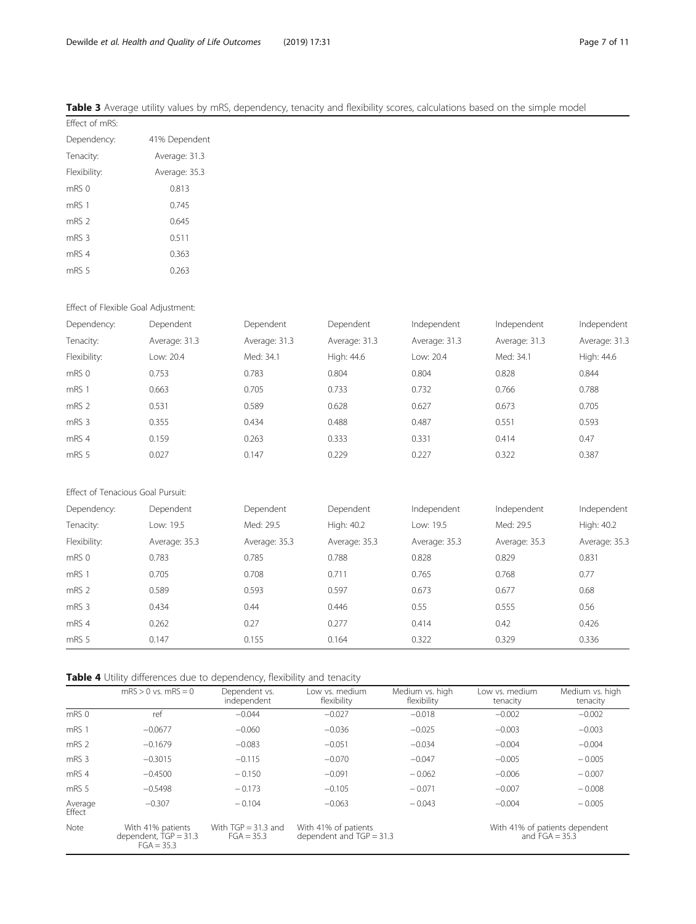<span id="page-6-0"></span>

|  | Table 3 Average utility values by mRS, dependency, tenacity and flexibility scores, calculations based on the simple model |  |
|--|----------------------------------------------------------------------------------------------------------------------------|--|
|  |                                                                                                                            |  |

| <b>Effect of mRS:</b> |               |
|-----------------------|---------------|
| Dependency:           | 41% Dependent |
| Tenacity:             | Average: 31.3 |
| Flexibility:          | Average: 35.3 |
| mRS <sub>0</sub>      | 0.813         |
| mRS 1                 | 0.745         |
| mRS <sub>2</sub>      | 0.645         |
| mRS 3                 | 0.511         |
| mRS 4                 | 0.363         |
| mRS 5                 | 0.263         |

# Effect of Flexible Goal Adjustment:

| Dependency:  | Dependent     | Dependent     | Dependent     | Independent   | Independent   | Independent   |
|--------------|---------------|---------------|---------------|---------------|---------------|---------------|
| Tenacity:    | Average: 31.3 | Average: 31.3 | Average: 31.3 | Average: 31.3 | Average: 31.3 | Average: 31.3 |
| Flexibility: | l ow: 20.4    | Med: 34.1     | High: 44.6    | Low: 20.4     | Med: 34.1     | High: 44.6    |
| mRS 0        | 0.753         | 0.783         | 0.804         | 0.804         | 0.828         | 0.844         |
| mRS 1        | 0.663         | 0.705         | 0.733         | 0.732         | 0.766         | 0.788         |
| mRS 2        | 0.531         | 0.589         | 0.628         | 0.627         | 0.673         | 0.705         |
| mRS 3        | 0.355         | 0.434         | 0.488         | 0.487         | 0.551         | 0.593         |
| mRS 4        | 0.159         | 0.263         | 0.333         | 0.331         | 0.414         | 0.47          |
| mRS 5        | 0.027         | 0.147         | 0.229         | 0.227         | 0.322         | 0.387         |

# Effect of Tenacious Goal Pursuit:

| Dependency:  | Dependent     | Dependent     | Dependent     | Independent   | Independent   | Independent   |
|--------------|---------------|---------------|---------------|---------------|---------------|---------------|
| Tenacity:    | Low: 19.5     | Med: 29.5     | High: 40.2    | Low: 19.5     | Med: 29.5     | High: 40.2    |
| Flexibility: | Average: 35.3 | Average: 35.3 | Average: 35.3 | Average: 35.3 | Average: 35.3 | Average: 35.3 |
| mRS 0        | 0.783         | 0.785         | 0.788         | 0.828         | 0.829         | 0.831         |
| mRS 1        | 0.705         | 0.708         | 0.711         | 0.765         | 0.768         | 0.77          |
| mRS 2        | 0.589         | 0.593         | 0.597         | 0.673         | 0.677         | 0.68          |
| mRS 3        | 0.434         | 0.44          | 0.446         | 0.55          | 0.555         | 0.56          |
| mRS 4        | 0.262         | 0.27          | 0.277         | 0.414         | 0.42          | 0.426         |
| mRS 5        | 0.147         | 0.155         | 0.164         | 0.322         | 0.329         | 0.336         |

# Table 4 Utility differences due to dependency, flexibility and tenacity

|                   | $mRS > 0$ vs. $mRS = 0$                                      | Dependent vs.<br>independent          | Low vs. medium<br>flexibility                      | Medium vs. high<br>flexibility | Low vs. medium<br>tenacity | Medium vs. high<br>tenacity    |
|-------------------|--------------------------------------------------------------|---------------------------------------|----------------------------------------------------|--------------------------------|----------------------------|--------------------------------|
| mRS 0             | ref                                                          | $-0.044$                              | $-0.027$                                           | $-0.018$                       | $-0.002$                   | $-0.002$                       |
| mRS 1             | $-0.0677$                                                    | $-0.060$                              | $-0.036$                                           | $-0.025$                       | $-0.003$                   | $-0.003$                       |
| mRS <sub>2</sub>  | $-0.1679$                                                    | $-0.083$                              | $-0.051$                                           | $-0.034$                       | $-0.004$                   | $-0.004$                       |
| mRS 3             | $-0.3015$                                                    | $-0.115$                              | $-0.070$                                           | $-0.047$                       | $-0.005$                   | $-0.005$                       |
| mRS 4             | $-0.4500$                                                    | $-0.150$                              | $-0.091$                                           | $-0.062$                       | $-0.006$                   | $-0.007$                       |
| mRS 5             | $-0.5498$                                                    | $-0.173$                              | $-0.105$                                           | $-0.071$                       | $-0.007$                   | $-0.008$                       |
| Average<br>Effect | $-0.307$                                                     | $-0.104$                              | $-0.063$                                           | $-0.043$                       | $-0.004$                   | $-0.005$                       |
| Note              | With 41% patients<br>dependent, $TGP = 31.3$<br>$FGA = 35.3$ | With $TGP = 31.3$ and<br>$FGA = 35.3$ | With 41% of patients<br>dependent and $TGP = 31.3$ |                                | and $FGA = 35.3$           | With 41% of patients dependent |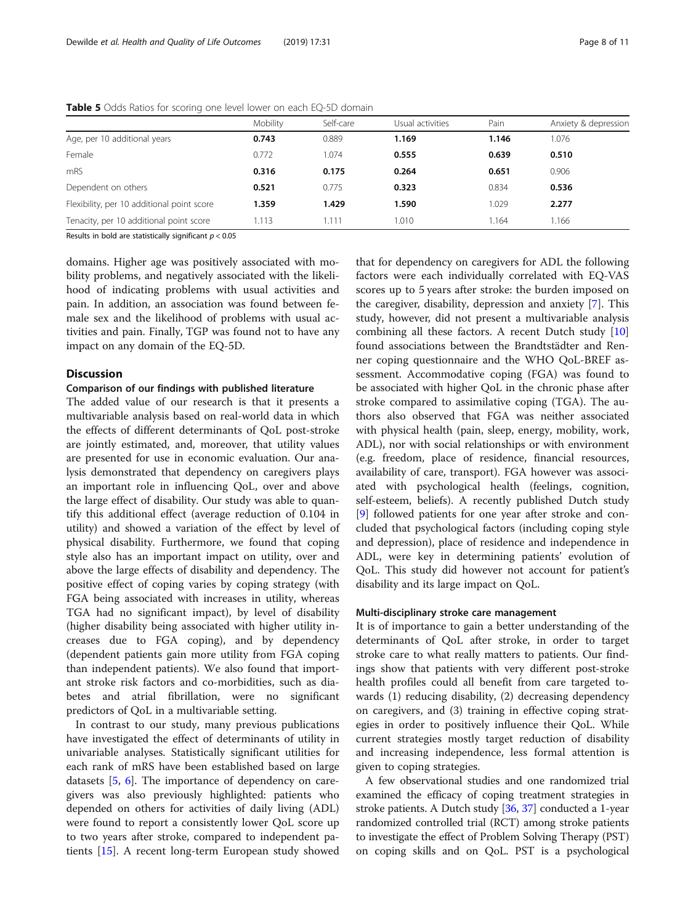|                                            | Mobility | Self-care | Usual activities | Pain  | Anxiety & depression |
|--------------------------------------------|----------|-----------|------------------|-------|----------------------|
| Age, per 10 additional years               | 0.743    | 0.889     | 1.169            | 1.146 | 1.076                |
| Female                                     | 0.772    | .074      | 0.555            | 0.639 | 0.510                |
| mRS                                        | 0.316    | 0.175     | 0.264            | 0.651 | 0.906                |
| Dependent on others                        | 0.521    | 0.775     | 0.323            | 0.834 | 0.536                |
| Flexibility, per 10 additional point score | 1.359    | 1.429     | 1.590            | 1.029 | 2.277                |
| Tenacity, per 10 additional point score    | 1.113    | 1.111     | 1.010            | 1.164 | 1.166                |

<span id="page-7-0"></span>Table 5 Odds Ratios for scoring one level lower on each EQ-5D domain

Results in bold are statistically significant  $p < 0.05$ 

domains. Higher age was positively associated with mobility problems, and negatively associated with the likelihood of indicating problems with usual activities and pain. In addition, an association was found between female sex and the likelihood of problems with usual activities and pain. Finally, TGP was found not to have any impact on any domain of the EQ-5D.

#### **Discussion**

#### Comparison of our findings with published literature

The added value of our research is that it presents a multivariable analysis based on real-world data in which the effects of different determinants of QoL post-stroke are jointly estimated, and, moreover, that utility values are presented for use in economic evaluation. Our analysis demonstrated that dependency on caregivers plays an important role in influencing QoL, over and above the large effect of disability. Our study was able to quantify this additional effect (average reduction of 0.104 in utility) and showed a variation of the effect by level of physical disability. Furthermore, we found that coping style also has an important impact on utility, over and above the large effects of disability and dependency. The positive effect of coping varies by coping strategy (with FGA being associated with increases in utility, whereas TGA had no significant impact), by level of disability (higher disability being associated with higher utility increases due to FGA coping), and by dependency (dependent patients gain more utility from FGA coping than independent patients). We also found that important stroke risk factors and co-morbidities, such as diabetes and atrial fibrillation, were no significant predictors of QoL in a multivariable setting.

In contrast to our study, many previous publications have investigated the effect of determinants of utility in univariable analyses. Statistically significant utilities for each rank of mRS have been established based on large datasets [\[5](#page-9-0), [6](#page-10-0)]. The importance of dependency on caregivers was also previously highlighted: patients who depended on others for activities of daily living (ADL) were found to report a consistently lower QoL score up to two years after stroke, compared to independent patients [\[15](#page-10-0)]. A recent long-term European study showed

that for dependency on caregivers for ADL the following factors were each individually correlated with EQ-VAS scores up to 5 years after stroke: the burden imposed on the caregiver, disability, depression and anxiety [[7\]](#page-10-0). This study, however, did not present a multivariable analysis combining all these factors. A recent Dutch study [[10](#page-10-0)] found associations between the Brandtstädter and Renner coping questionnaire and the WHO QoL-BREF assessment. Accommodative coping (FGA) was found to be associated with higher QoL in the chronic phase after stroke compared to assimilative coping (TGA). The authors also observed that FGA was neither associated with physical health (pain, sleep, energy, mobility, work, ADL), nor with social relationships or with environment (e.g. freedom, place of residence, financial resources, availability of care, transport). FGA however was associated with psychological health (feelings, cognition, self-esteem, beliefs). A recently published Dutch study [[9\]](#page-10-0) followed patients for one year after stroke and concluded that psychological factors (including coping style and depression), place of residence and independence in ADL, were key in determining patients' evolution of QoL. This study did however not account for patient's disability and its large impact on QoL.

#### Multi-disciplinary stroke care management

It is of importance to gain a better understanding of the determinants of QoL after stroke, in order to target stroke care to what really matters to patients. Our findings show that patients with very different post-stroke health profiles could all benefit from care targeted towards (1) reducing disability, (2) decreasing dependency on caregivers, and (3) training in effective coping strategies in order to positively influence their QoL. While current strategies mostly target reduction of disability and increasing independence, less formal attention is given to coping strategies.

A few observational studies and one randomized trial examined the efficacy of coping treatment strategies in stroke patients. A Dutch study [\[36](#page-10-0), [37](#page-10-0)] conducted a 1-year randomized controlled trial (RCT) among stroke patients to investigate the effect of Problem Solving Therapy (PST) on coping skills and on QoL. PST is a psychological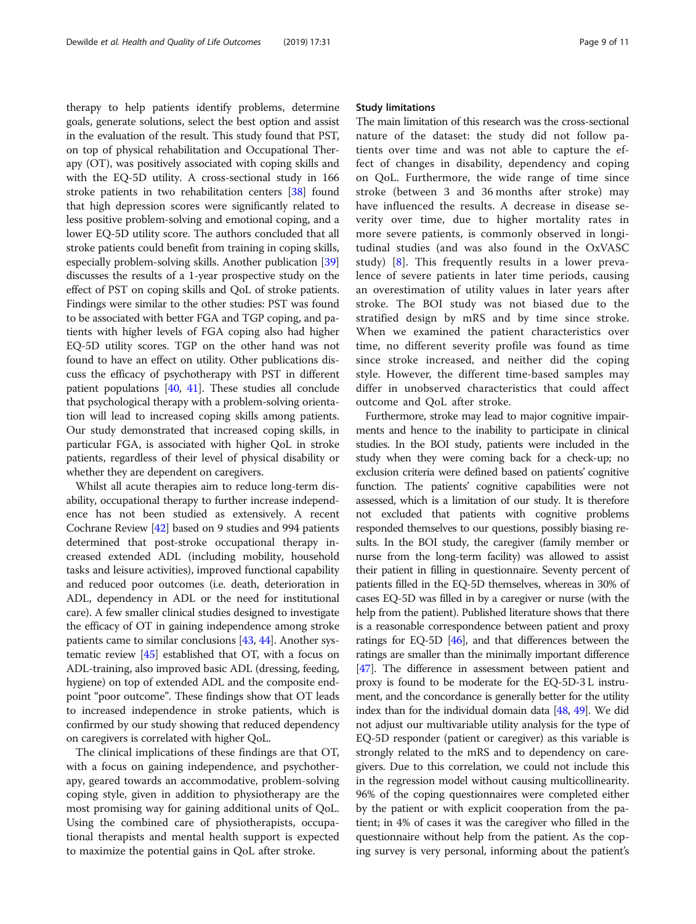therapy to help patients identify problems, determine goals, generate solutions, select the best option and assist in the evaluation of the result. This study found that PST, on top of physical rehabilitation and Occupational Therapy (OT), was positively associated with coping skills and with the EQ-5D utility. A cross-sectional study in 166 stroke patients in two rehabilitation centers [\[38](#page-10-0)] found that high depression scores were significantly related to less positive problem-solving and emotional coping, and a lower EQ-5D utility score. The authors concluded that all stroke patients could benefit from training in coping skills, especially problem-solving skills. Another publication [[39](#page-10-0)] discusses the results of a 1-year prospective study on the effect of PST on coping skills and QoL of stroke patients. Findings were similar to the other studies: PST was found to be associated with better FGA and TGP coping, and patients with higher levels of FGA coping also had higher EQ-5D utility scores. TGP on the other hand was not found to have an effect on utility. Other publications discuss the efficacy of psychotherapy with PST in different patient populations [[40](#page-10-0), [41\]](#page-10-0). These studies all conclude that psychological therapy with a problem-solving orientation will lead to increased coping skills among patients. Our study demonstrated that increased coping skills, in particular FGA, is associated with higher QoL in stroke patients, regardless of their level of physical disability or whether they are dependent on caregivers.

Whilst all acute therapies aim to reduce long-term disability, occupational therapy to further increase independence has not been studied as extensively. A recent Cochrane Review [\[42\]](#page-10-0) based on 9 studies and 994 patients determined that post-stroke occupational therapy increased extended ADL (including mobility, household tasks and leisure activities), improved functional capability and reduced poor outcomes (i.e. death, deterioration in ADL, dependency in ADL or the need for institutional care). A few smaller clinical studies designed to investigate the efficacy of OT in gaining independence among stroke patients came to similar conclusions [\[43](#page-10-0), [44](#page-10-0)]. Another systematic review [\[45\]](#page-10-0) established that OT, with a focus on ADL-training, also improved basic ADL (dressing, feeding, hygiene) on top of extended ADL and the composite endpoint "poor outcome". These findings show that OT leads to increased independence in stroke patients, which is confirmed by our study showing that reduced dependency on caregivers is correlated with higher QoL.

The clinical implications of these findings are that OT, with a focus on gaining independence, and psychotherapy, geared towards an accommodative, problem-solving coping style, given in addition to physiotherapy are the most promising way for gaining additional units of QoL. Using the combined care of physiotherapists, occupational therapists and mental health support is expected to maximize the potential gains in QoL after stroke.

#### Study limitations

The main limitation of this research was the cross-sectional nature of the dataset: the study did not follow patients over time and was not able to capture the effect of changes in disability, dependency and coping on QoL. Furthermore, the wide range of time since stroke (between 3 and 36 months after stroke) may have influenced the results. A decrease in disease severity over time, due to higher mortality rates in more severe patients, is commonly observed in longitudinal studies (and was also found in the OxVASC study) [[8](#page-10-0)]. This frequently results in a lower prevalence of severe patients in later time periods, causing an overestimation of utility values in later years after stroke. The BOI study was not biased due to the stratified design by mRS and by time since stroke. When we examined the patient characteristics over time, no different severity profile was found as time since stroke increased, and neither did the coping style. However, the different time-based samples may differ in unobserved characteristics that could affect outcome and QoL after stroke.

Furthermore, stroke may lead to major cognitive impairments and hence to the inability to participate in clinical studies. In the BOI study, patients were included in the study when they were coming back for a check-up; no exclusion criteria were defined based on patients' cognitive function. The patients' cognitive capabilities were not assessed, which is a limitation of our study. It is therefore not excluded that patients with cognitive problems responded themselves to our questions, possibly biasing results. In the BOI study, the caregiver (family member or nurse from the long-term facility) was allowed to assist their patient in filling in questionnaire. Seventy percent of patients filled in the EQ-5D themselves, whereas in 30% of cases EQ-5D was filled in by a caregiver or nurse (with the help from the patient). Published literature shows that there is a reasonable correspondence between patient and proxy ratings for EQ-5D [\[46](#page-10-0)], and that differences between the ratings are smaller than the minimally important difference [[47](#page-10-0)]. The difference in assessment between patient and proxy is found to be moderate for the EQ-5D-3 L instrument, and the concordance is generally better for the utility index than for the individual domain data [[48](#page-10-0), [49\]](#page-10-0). We did not adjust our multivariable utility analysis for the type of EQ-5D responder (patient or caregiver) as this variable is strongly related to the mRS and to dependency on caregivers. Due to this correlation, we could not include this in the regression model without causing multicollinearity. 96% of the coping questionnaires were completed either by the patient or with explicit cooperation from the patient; in 4% of cases it was the caregiver who filled in the questionnaire without help from the patient. As the coping survey is very personal, informing about the patient's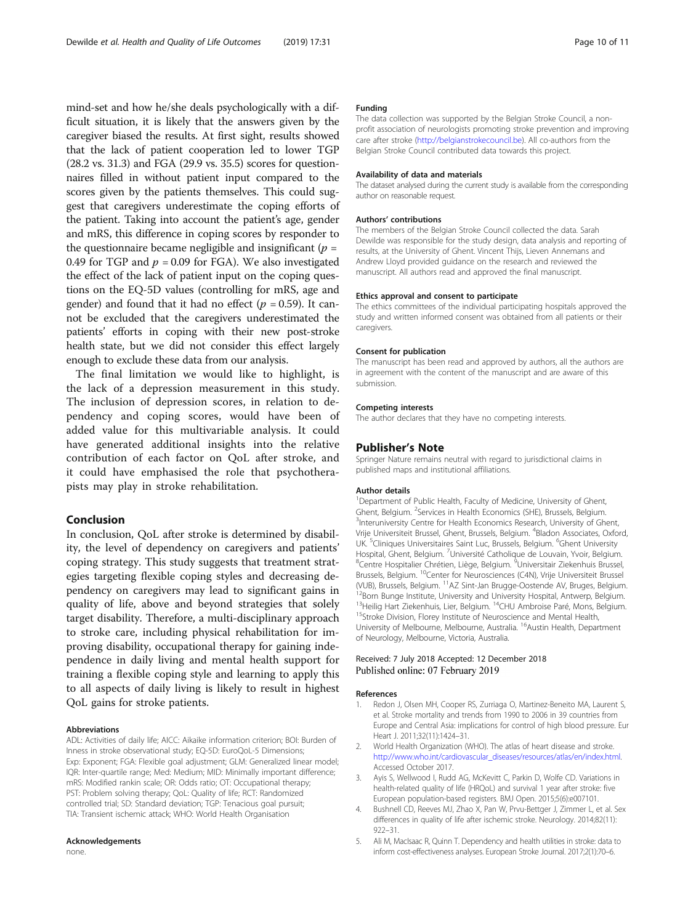<span id="page-9-0"></span>mind-set and how he/she deals psychologically with a difficult situation, it is likely that the answers given by the caregiver biased the results. At first sight, results showed that the lack of patient cooperation led to lower TGP (28.2 vs. 31.3) and FGA (29.9 vs. 35.5) scores for questionnaires filled in without patient input compared to the scores given by the patients themselves. This could suggest that caregivers underestimate the coping efforts of the patient. Taking into account the patient's age, gender and mRS, this difference in coping scores by responder to the questionnaire became negligible and insignificant ( $p =$ 0.49 for TGP and  $p = 0.09$  for FGA). We also investigated the effect of the lack of patient input on the coping questions on the EQ-5D values (controlling for mRS, age and gender) and found that it had no effect ( $p = 0.59$ ). It cannot be excluded that the caregivers underestimated the patients' efforts in coping with their new post-stroke health state, but we did not consider this effect largely enough to exclude these data from our analysis.

The final limitation we would like to highlight, is the lack of a depression measurement in this study. The inclusion of depression scores, in relation to dependency and coping scores, would have been of added value for this multivariable analysis. It could have generated additional insights into the relative contribution of each factor on QoL after stroke, and it could have emphasised the role that psychotherapists may play in stroke rehabilitation.

#### Conclusion

In conclusion, QoL after stroke is determined by disability, the level of dependency on caregivers and patients' coping strategy. This study suggests that treatment strategies targeting flexible coping styles and decreasing dependency on caregivers may lead to significant gains in quality of life, above and beyond strategies that solely target disability. Therefore, a multi-disciplinary approach to stroke care, including physical rehabilitation for improving disability, occupational therapy for gaining independence in daily living and mental health support for training a flexible coping style and learning to apply this to all aspects of daily living is likely to result in highest QoL gains for stroke patients.

#### Abbreviations

ADL: Activities of daily life; AICC: Aikaike information criterion; BOI: Burden of Inness in stroke observational study; EQ-5D: EuroQoL-5 Dimensions; Exp: Exponent; FGA: Flexible goal adjustment; GLM: Generalized linear model; IQR: Inter-quartile range; Med: Medium; MID: Minimally important difference; mRS: Modified rankin scale; OR: Odds ratio; OT: Occupational therapy; PST: Problem solving therapy; QoL: Quality of life; RCT: Randomized controlled trial; SD: Standard deviation; TGP: Tenacious goal pursuit; TIA: Transient ischemic attack; WHO: World Health Organisation

#### Acknowledgements

none.

#### Funding

The data collection was supported by the Belgian Stroke Council, a nonprofit association of neurologists promoting stroke prevention and improving care after stroke [\(http://belgianstrokecouncil.be\)](http://belgianstrokecouncil.be). All co-authors from the Belgian Stroke Council contributed data towards this project.

#### Availability of data and materials

The dataset analysed during the current study is available from the corresponding author on reasonable request.

#### Authors' contributions

The members of the Belgian Stroke Council collected the data. Sarah Dewilde was responsible for the study design, data analysis and reporting of results, at the University of Ghent. Vincent Thijs, Lieven Annemans and Andrew Lloyd provided guidance on the research and reviewed the manuscript. All authors read and approved the final manuscript.

#### Ethics approval and consent to participate

The ethics committees of the individual participating hospitals approved the study and written informed consent was obtained from all patients or their caregivers.

#### Consent for publication

The manuscript has been read and approved by authors, all the authors are in agreement with the content of the manuscript and are aware of this submission.

#### Competing interests

The author declares that they have no competing interests.

#### Publisher's Note

Springer Nature remains neutral with regard to jurisdictional claims in published maps and institutional affiliations.

#### Author details

<sup>1</sup>Department of Public Health, Faculty of Medicine, University of Ghent, Ghent, Belgium. <sup>2</sup>Services in Health Economics (SHE), Brussels, Belgium. <sup>3</sup><br><sup>3</sup>Interupiyarsity Contra for Health Economics Besearch University of Gh <sup>3</sup>Interuniversity Centre for Health Economics Research, University of Ghent, Vrije Universiteit Brussel, Ghent, Brussels, Belgium. <sup>4</sup>Bladon Associates, Oxford, UK. <sup>5</sup>Cliniques Universitaires Saint Luc, Brussels, Belgium. <sup>6</sup>Ghent University Hospital, Ghent, Belgium. <sup>7</sup>Université Catholique de Louvain, Yvoir, Belgium.<br><sup>8</sup>Contre Hespitalier Chrétien, Liège, Belgium. <sup>9</sup>Universitair Ziekophuis Brussel Centre Hospitalier Chrétien, Liège, Belgium. <sup>9</sup>Universitair Ziekenhuis Brussel Brussels, Belgium. <sup>10</sup>Center for Neurosciences (C4N), Vrije Universiteit Brussel<br>(VUB), Brussels, Belgium. <sup>11</sup>AZ Sint-Jan Brugge-Oostende AV, Bruges, Belgium.  $^{12}$ Born Bunge Institute, University and University Hospital, Antwerp, Belgium. <sup>13</sup>Heilig Hart Ziekenhuis, Lier, Belgium. <sup>14</sup>CHU Ambroise Paré, Mons, Belgium.<br><sup>15</sup>Stroke Division, Florey Institute of Neuroscience and Mental Health, University of Melbourne, Melbourne, Australia. <sup>16</sup>Austin Health, Department of Neurology, Melbourne, Victoria, Australia.

#### Received: 7 July 2018 Accepted: 12 December 2018 Published online: 07 February 2019

#### References

- 1. Redon J, Olsen MH, Cooper RS, Zurriaga O, Martinez-Beneito MA, Laurent S, et al. Stroke mortality and trends from 1990 to 2006 in 39 countries from Europe and Central Asia: implications for control of high blood pressure. Eur Heart J. 2011;32(11):1424–31.
- 2. World Health Organization (WHO). The atlas of heart disease and stroke. [http://www.who.int/cardiovascular\\_diseases/resources/atlas/en/index.html](http://www.who.int/cardiovascular_diseases/resources/atlas/en/index.html). Accessed October 2017.
- 3. Ayis S, Wellwood I, Rudd AG, McKevitt C, Parkin D, Wolfe CD. Variations in health-related quality of life (HRQoL) and survival 1 year after stroke: five European population-based registers. BMJ Open. 2015;5(6):e007101.
- 4. Bushnell CD, Reeves MJ, Zhao X, Pan W, Prvu-Bettger J, Zimmer L, et al. Sex differences in quality of life after ischemic stroke. Neurology. 2014;82(11): 922–31.
- 5. Ali M, MacIsaac R, Quinn T. Dependency and health utilities in stroke: data to inform cost-effectiveness analyses. European Stroke Journal. 2017;2(1):70–6.